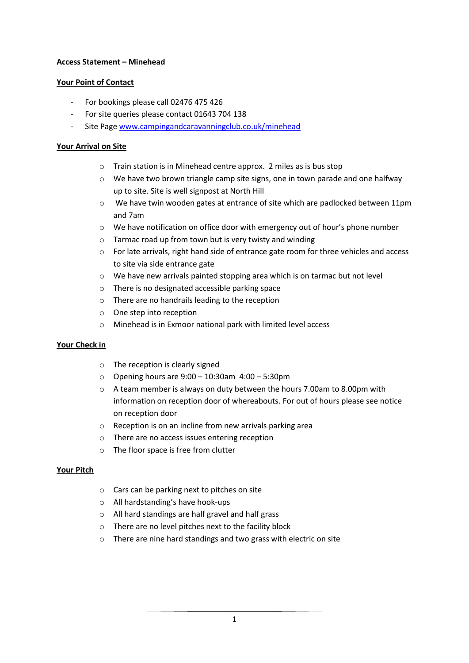## **Access Statement – Minehead**

### **Your Point of Contact**

- For bookings please call 02476 475 426
- For site queries please contact 01643 704 138
- Site Page [www.campingandcaravanningclub.co.uk/minehead](http://www.campingandcaravanningclub.co.uk/minehead)

### **Your Arrival on Site**

- o Train station is in Minehead centre approx. 2 miles as is bus stop
- $\circ$  We have two brown triangle camp site signs, one in town parade and one halfway up to site. Site is well signpost at North Hill
- o We have twin wooden gates at entrance of site which are padlocked between 11pm and 7am
- o We have notification on office door with emergency out of hour's phone number
- o Tarmac road up from town but is very twisty and winding
- $\circ$  For late arrivals, right hand side of entrance gate room for three vehicles and access to site via side entrance gate
- $\circ$  We have new arrivals painted stopping area which is on tarmac but not level
- o There is no designated accessible parking space
- o There are no handrails leading to the reception
- o One step into reception
- o Minehead is in Exmoor national park with limited level access

#### **Your Check in**

- o The reception is clearly signed
- o Opening hours are 9:00 10:30am 4:00 5:30pm
- o A team member is always on duty between the hours 7.00am to 8.00pm with information on reception door of whereabouts. For out of hours please see notice on reception door
- o Reception is on an incline from new arrivals parking area
- o There are no access issues entering reception
- o The floor space is free from clutter

#### **Your Pitch**

- o Cars can be parking next to pitches on site
- o All hardstanding's have hook-ups
- o All hard standings are half gravel and half grass
- o There are no level pitches next to the facility block
- o There are nine hard standings and two grass with electric on site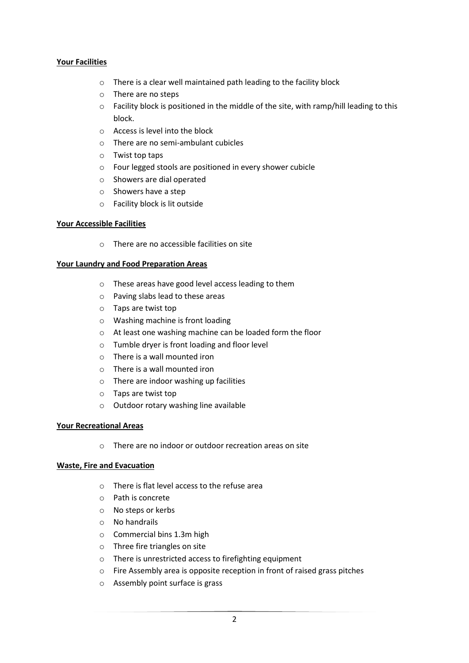### **Your Facilities**

- o There is a clear well maintained path leading to the facility block
- o There are no steps
- $\circ$  Facility block is positioned in the middle of the site, with ramp/hill leading to this block.
- o Access is level into the block
- o There are no semi-ambulant cubicles
- o Twist top taps
- o Four legged stools are positioned in every shower cubicle
- o Showers are dial operated
- o Showers have a step
- o Facility block is lit outside

#### **Your Accessible Facilities**

o There are no accessible facilities on site

#### **Your Laundry and Food Preparation Areas**

- o These areas have good level access leading to them
- o Paving slabs lead to these areas
- o Taps are twist top
- o Washing machine is front loading
- o At least one washing machine can be loaded form the floor
- o Tumble dryer is front loading and floor level
- o There is a wall mounted iron
- o There is a wall mounted iron
- o There are indoor washing up facilities
- o Taps are twist top
- o Outdoor rotary washing line available

#### **Your Recreational Areas**

o There are no indoor or outdoor recreation areas on site

#### **Waste, Fire and Evacuation**

- o There is flat level access to the refuse area
- o Path is concrete
- o No steps or kerbs
- o No handrails
- o Commercial bins 1.3m high
- o Three fire triangles on site
- o There is unrestricted access to firefighting equipment
- o Fire Assembly area is opposite reception in front of raised grass pitches
- o Assembly point surface is grass